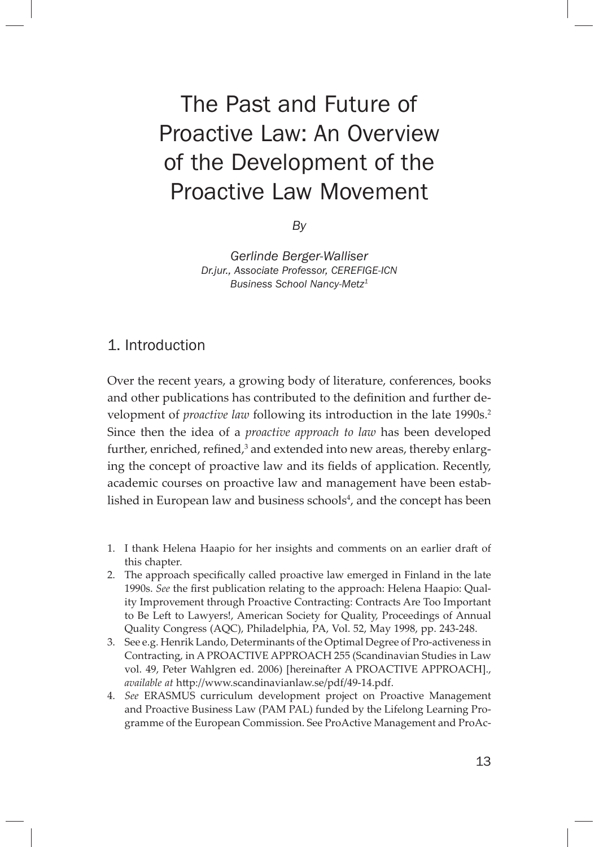# The Past and Future of Proactive Law: An Overview of the Development of the Proactive Law Movement

*By*

*Gerlinde Berger-Walliser Dr.jur., Associate Professor, CEREFIGE-ICN Business School Nancy-Metz1*

## 1. Introduction

Over the recent years, a growing body of literature, conferences, books and other publications has contributed to the definition and further development of *proactive law* following its introduction in the late 1990s.<sup>2</sup> Since then the idea of a *proactive approach to law* has been developed further, enriched, refined, $^3$  and extended into new areas, thereby enlarging the concept of proactive law and its fields of application. Recently, academic courses on proactive law and management have been established in European law and business schools $^4$ , and the concept has been

- 1. I thank Helena Haapio for her insights and comments on an earlier draft of this chapter.
- 2. The approach specifically called proactive law emerged in Finland in the late 1990s. *See* the first publication relating to the approach: Helena Haapio: Quality Improvement through Proactive Contracting: Contracts Are Too Important to Be Left to Lawyers!, American Society for Quality, Proceedings of Annual Quality Congress (AQC), Philadelphia, PA, Vol. 52, May 1998, pp. 243-248.
- 3. See e.g. Henrik Lando, Determinants of the Optimal Degree of Pro-activeness in Contracting, in A PROACTIVE APPROACH 255 (Scandinavian Studies in Law vol. 49, Peter Wahlgren ed. 2006) [hereinafter A PROACTIVE APPROACH]., available at http://www.scandinavianlaw.se/pdf/49-14.pdf.
- 4. *See* ERASMUS curriculum development project on Proactive Management and Proactive Business Law (PAM PAL) funded by the Lifelong Learning Programme of the European Commission. See ProActive Management and ProAc-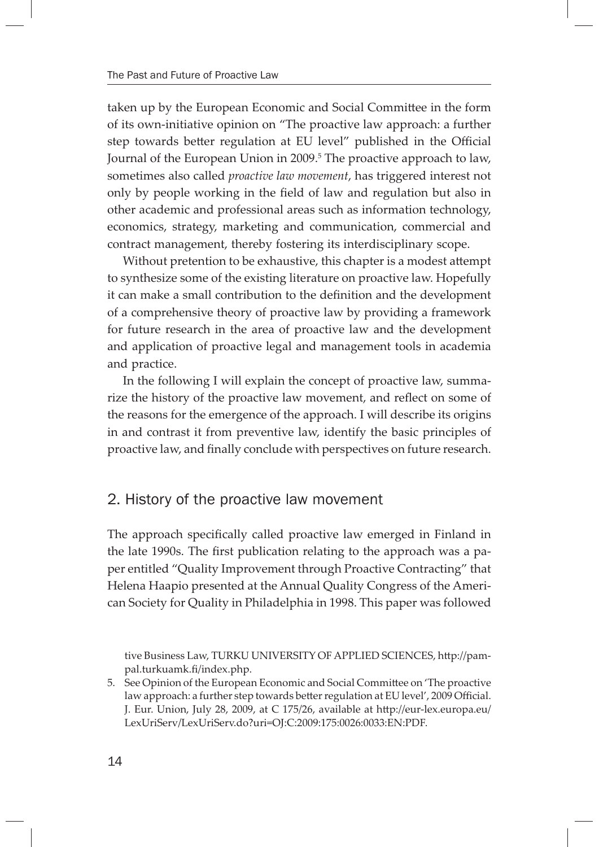taken up by the European Economic and Social Committee in the form of its own-initiative opinion on "The proactive law approach: a further step towards better regulation at EU level" published in the Official Journal of the European Union in 2009.<sup>5</sup> The proactive approach to law, sometimes also called *proactive law movement*, has triggered interest not only by people working in the field of law and regulation but also in other academic and professional areas such as information technology, economics, strategy, marketing and communication, commercial and contract management, thereby fostering its interdisciplinary scope.

Without pretention to be exhaustive, this chapter is a modest attempt to synthesize some of the existing literature on proactive law. Hopefully it can make a small contribution to the definition and the development of a comprehensive theory of proactive law by providing a framework for future research in the area of proactive law and the development and application of proactive legal and management tools in academia and practice.

In the following I will explain the concept of proactive law, summarize the history of the proactive law movement, and reflect on some of the reasons for the emergence of the approach. I will describe its origins in and contrast it from preventive law, identify the basic principles of proactive law, and finally conclude with perspectives on future research.

### 2. History of the proactive law movement

The approach specifically called proactive law emerged in Finland in the late 1990s. The first publication relating to the approach was a paper entitled "Quality Improvement through Proactive Contracting" that Helena Haapio presented at the Annual Quality Congress of the American Society for Quality in Philadelphia in 1998. This paper was followed

tive Business Law, TURKU UNIVERSITY OF APPLIED SCIENCES, http://pampal.turkuamk.fi/index.php.

5. See Opinion of the European Economic and Social Committee on 'The proactive law approach: a further step towards better regulation at EU level', 2009 Official. J. Eur. Union, July 28, 2009, at C 175/26, available at http://eur-lex.europa.eu/ LexUriServ/LexUriServ.do?uri=OJ:C:2009:175:0026:0033:EN:PDF.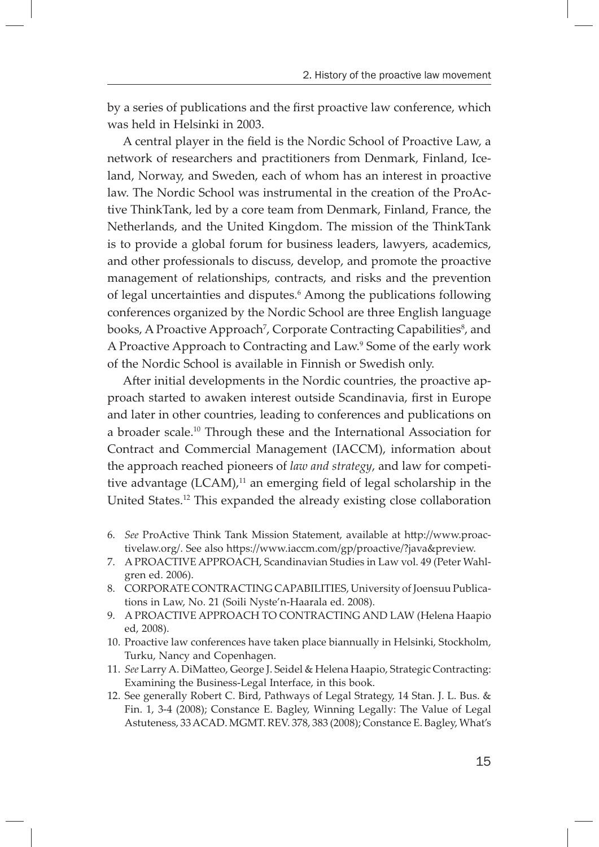by a series of publications and the first proactive law conference, which was held in Helsinki in 2003.

A central player in the field is the Nordic School of Proactive Law, a network of researchers and practitioners from Denmark, Finland, Iceland, Norway, and Sweden, each of whom has an interest in proactive law. The Nordic School was instrumental in the creation of the ProActive ThinkTank, led by a core team from Denmark, Finland, France, the Netherlands, and the United Kingdom. The mission of the ThinkTank is to provide a global forum for business leaders, lawyers, academics, and other professionals to discuss, develop, and promote the proactive management of relationships, contracts, and risks and the prevention of legal uncertainties and disputes.<sup>6</sup> Among the publications following conferences organized by the Nordic School are three English language books, A Proactive Approach<sup>7</sup>, Corporate Contracting Capabilities<sup>8</sup>, and A Proactive Approach to Contracting and Law.9 Some of the early work of the Nordic School is available in Finnish or Swedish only.

After initial developments in the Nordic countries, the proactive approach started to awaken interest outside Scandinavia, first in Europe and later in other countries, leading to conferences and publications on a broader scale.10 Through these and the International Association for Contract and Commercial Management (IACCM), information about the approach reached pioneers of *law and strategy*, and law for competitive advantage  $(LCAM)^{11}$  an emerging field of legal scholarship in the United States.12 This expanded the already existing close collaboration

- 6. *See* ProActive Think Tank Mission Statement, available at http://www.proactivelaw.org/. See also https://www.iaccm.com/gp/proactive/?java&preview.
- 7. A PROACTIVE APPROACH, Scandinavian Studies in Law vol. 49 (Peter Wahlgren ed. 2006).
- 8. CORPORATE CONTRACTING CAPABILITIES, University of Joensuu Publications in Law, No. 21 (Soili Nyste'n-Haarala ed. 2008).
- 9. A PROACTIVE APPROACH TO CONTRACTING AND LAW (Helena Haapio ed, 2008).
- 10. Proactive law conferences have taken place biannually in Helsinki, Stockholm, Turku, Nancy and Copenhagen.
- 11. See Larry A. DiMatteo, George J. Seidel & Helena Haapio, Strategic Contracting: Examining the Business-Legal Interface, in this book.
- 12. See generally Robert C. Bird, Pathways of Legal Strategy, 14 Stan. J. L. Bus. & Fin. 1, 3-4 (2008); Constance E. Bagley, Winning Legally: The Value of Legal Astuteness, 33 ACAD. MGMT. REV. 378, 383 (2008); Constance E. Bagley, What's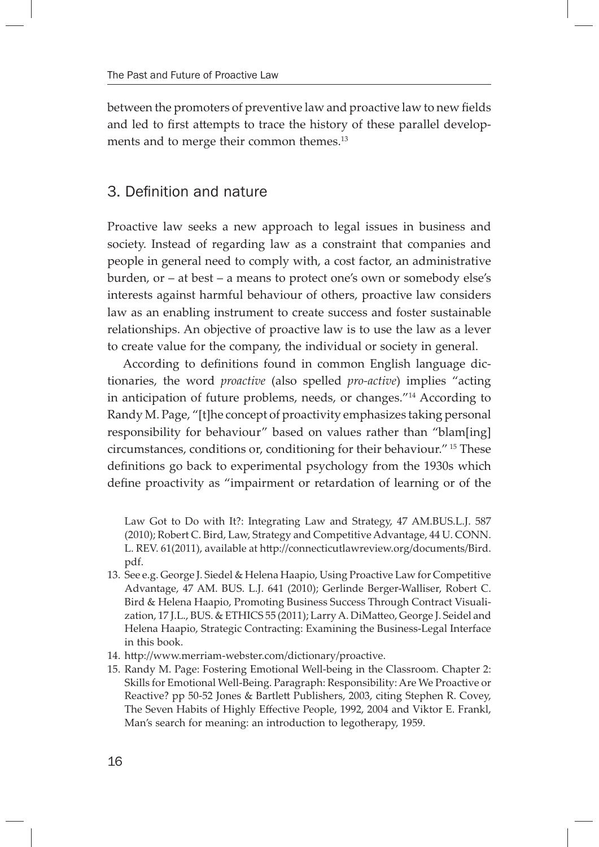between the promoters of preventive law and proactive law to new fields and led to first attempts to trace the history of these parallel developments and to merge their common themes.<sup>13</sup>

# 3. Definition and nature

Proactive law seeks a new approach to legal issues in business and society. Instead of regarding law as a constraint that companies and people in general need to comply with, a cost factor, an administrative burden, or – at best – a means to protect one's own or somebody else's interests against harmful behaviour of others, proactive law considers law as an enabling instrument to create success and foster sustainable relationships. An objective of proactive law is to use the law as a lever to create value for the company, the individual or society in general.

According to definitions found in common English language dictionaries, the word *proactive* (also spelled *pro-active*) implies "acting in anticipation of future problems, needs, or changes."14 According to Randy M. Page, "[t]he concept of proactivity emphasizes taking personal responsibility for behaviour" based on values rather than "blam[ing] circumstances, conditions or, conditioning for their behaviour." 15 These definitions go back to experimental psychology from the 1930s which define proactivity as "impairment or retardation of learning or of the

Law Got to Do with It?: Integrating Law and Strategy, 47 AM.BUS.L.J. 587 (2010); Robert C. Bird, Law, Strategy and Competitive Advantage, 44 U. CONN. L. REV. 61(2011), available at http://connecticutlawreview.org/documents/Bird. pdf.

- 13. See e.g. George J. Siedel & Helena Haapio, Using Proactive Law for Competitive Advantage, 47 AM. BUS. L.J. 641 (2010); Gerlinde Berger-Walliser, Robert C. Bird & Helena Haapio, Promoting Business Success Through Contract Visualization, 17 J.L., BUS. & ETHICS 55 (2011); Larry A. DiMatteo, George J. Seidel and Helena Haapio, Strategic Contracting: Examining the Business-Legal Interface in this book.
- 14. http://www.merriam-webster.com/dictionary/proactive.
- 15. Randy M. Page: Fostering Emotional Well-being in the Classroom. Chapter 2: Skills for Emotional Well-Being. Paragraph: Responsibility: Are We Proactive or Reactive? pp 50-52 Jones & Bartlett Publishers, 2003, citing Stephen R. Covey, The Seven Habits of Highly Effective People, 1992, 2004 and Viktor E. Frankl, Man's search for meaning: an introduction to legotherapy, 1959.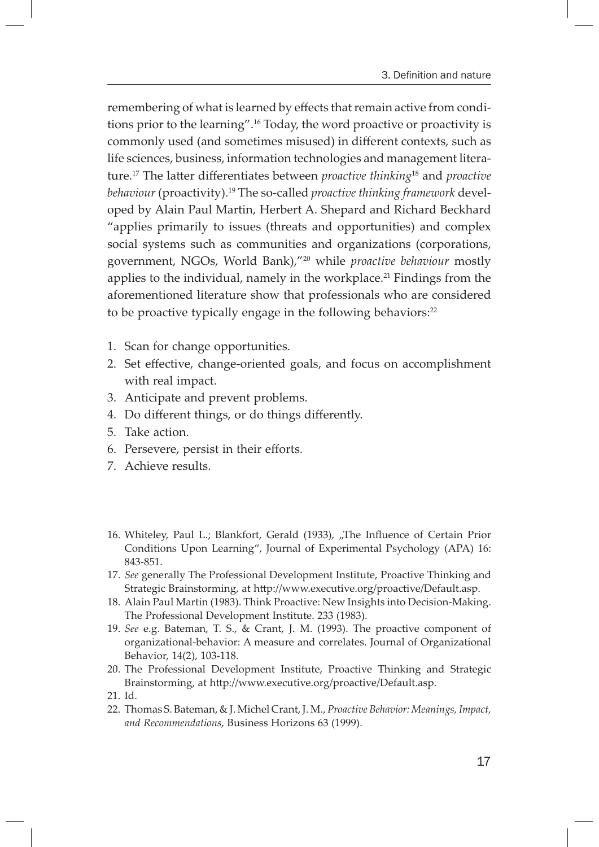remembering of what is learned by effects that remain active from conditions prior to the learning".16 Today, the word proactive or proactivity is commonly used (and sometimes misused) in different contexts, such as life sciences, business, information technologies and management literature.<sup>17</sup> The latter differentiates between *proactive thinking*<sup>18</sup> and *proactive behaviour* (proactivity).19 The so-called *proactive thinking framework* developed by Alain Paul Martin, Herbert A. Shepard and Richard Beckhard "applies primarily to issues (threats and opportunities) and complex social systems such as communities and organizations (corporations, government, NGOs, World Bank),"20 while *proactive behaviour* mostly applies to the individual, namely in the workplace.<sup>21</sup> Findings from the aforementioned literature show that professionals who are considered to be proactive typically engage in the following behaviors:<sup>22</sup>

- 1. Scan for change opportunities.
- 2. Set effective, change-oriented goals, and focus on accomplishment with real impact.
- 3. Anticipate and prevent problems.
- 4. Do different things, or do things differently.
- 5. Take action.
- 6. Persevere, persist in their efforts.
- 7. Achieve results.
- 16. Whiteley, Paul L.; Blankfort, Gerald (1933), "The Influence of Certain Prior Conditions Upon Learning", Journal of Experimental Psychology (APA) 16: 843-851.
- 17. *See* generally The Professional Development Institute, Proactive Thinking and Strategic Brainstorming, at http://www.executive.org/proactive/Default.asp.
- 18. Alain Paul Martin (1983). Think Proactive: New Insights into Decision-Making. The Professional Development Institute. 233 (1983).
- 19. *See* e.g. Bateman, T. S., & Crant, J. M. (1993). The proactive component of organizational-behavior: A measure and correlates. Journal of Organizational Behavior, 14(2), 103-118.
- 20. The Professional Development Institute, Proactive Thinking and Strategic Brainstorming, at http://www.executive.org/proactive/Default.asp.
- 21. Id.
- 22. Thomas S. Bateman, & J. Michel Crant, J. M., *Proactive Behavior: Meanings, Impact, and Recommendations*, Business Horizons 63 (1999).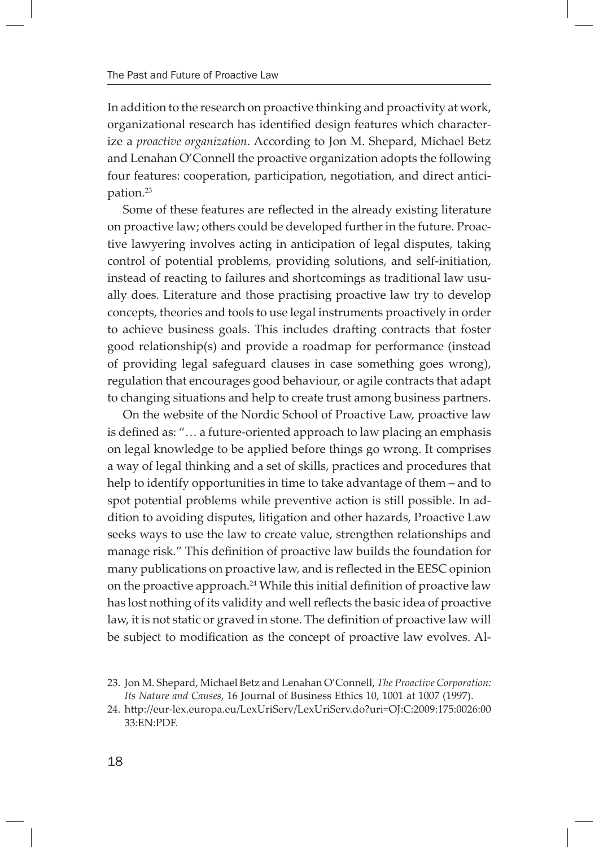In addition to the research on proactive thinking and proactivity at work, organizational research has identified design features which characterize a *proactive organization*. According to Jon M. Shepard, Michael Betz and Lenahan O'Connell the proactive organization adopts the following four features: cooperation, participation, negotiation, and direct anticipation.23

Some of these features are reflected in the already existing literature on proactive law; others could be developed further in the future. Proactive lawyering involves acting in anticipation of legal disputes, taking control of potential problems, providing solutions, and self-initiation, instead of reacting to failures and shortcomings as traditional law usually does. Literature and those practising proactive law try to develop concepts, theories and tools to use legal instruments proactively in order to achieve business goals. This includes drafting contracts that foster good relationship(s) and provide a roadmap for performance (instead of providing legal safeguard clauses in case something goes wrong), regulation that encourages good behaviour, or agile contracts that adapt to changing situations and help to create trust among business partners.

On the website of the Nordic School of Proactive Law, proactive law is defined as: "... a future-oriented approach to law placing an emphasis on legal knowledge to be applied before things go wrong. It comprises a way of legal thinking and a set of skills, practices and procedures that help to identify opportunities in time to take advantage of them – and to spot potential problems while preventive action is still possible. In addition to avoiding disputes, litigation and other hazards, Proactive Law seeks ways to use the law to create value, strengthen relationships and manage risk." This definition of proactive law builds the foundation for many publications on proactive law, and is reflected in the EESC opinion on the proactive approach. $^{24}$  While this initial definition of proactive law has lost nothing of its validity and well reflects the basic idea of proactive law, it is not static or graved in stone. The definition of proactive law will be subject to modification as the concept of proactive law evolves. Al-

<sup>23.</sup> Jon M. Shepard, Michael Betz and Lenahan O'Connell, *The Proactive Corporation: Its Nature and Causes*, 16 Journal of Business Ethics 10, 1001 at 1007 (1997).

<sup>24.</sup> http://eur-lex.europa.eu/LexUriServ/LexUriServ.do?uri=OJ:C:2009:175:0026:00 33:EN:PDF.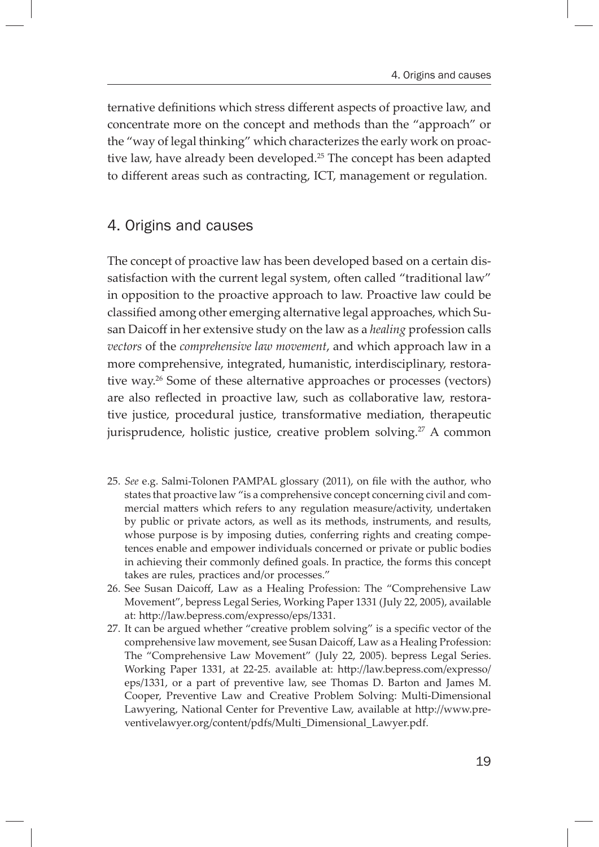ternative definitions which stress different aspects of proactive law, and concentrate more on the concept and methods than the "approach" or the "way of legal thinking" which characterizes the early work on proactive law, have already been developed.<sup>25</sup> The concept has been adapted to different areas such as contracting, ICT, management or regulation.

### 4. Origins and causes

The concept of proactive law has been developed based on a certain dissatisfaction with the current legal system, often called "traditional law" in opposition to the proactive approach to law. Proactive law could be classified among other emerging alternative legal approaches, which Susan Daicoff in her extensive study on the law as a *healing* profession calls *vectors* of the *comprehensive law movement*, and which approach law in a more comprehensive, integrated, humanistic, interdisciplinary, restorative way.26 Some of these alternative approaches or processes (vectors) are also reflected in proactive law, such as collaborative law, restorative justice, procedural justice, transformative mediation, therapeutic jurisprudence, holistic justice, creative problem solving.<sup>27</sup> A common

- 25. *See* e.g. Salmi-Tolonen PAMPAL glossary (2011), on file with the author, who states that proactive law "is a comprehensive concept concerning civil and commercial matters which refers to any regulation measure/activity, undertaken by public or private actors, as well as its methods, instruments, and results, whose purpose is by imposing duties, conferring rights and creating competences enable and empower individuals concerned or private or public bodies in achieving their commonly defined goals. In practice, the forms this concept takes are rules, practices and/or processes."
- 26. See Susan Daicoff, Law as a Healing Profession: The "Comprehensive Law Movement", bepress Legal Series, Working Paper 1331 (July 22, 2005), available at: http://law.bepress.com/expresso/eps/1331.
- 27. It can be argued whether "creative problem solving" is a specific vector of the comprehensive law movement, see Susan Daicoff, Law as a Healing Profession: The "Comprehensive Law Movement" (July 22, 2005). bepress Legal Series. Working Paper 1331, at 22-25. available at: http://law.bepress.com/expresso/ eps/1331, or a part of preventive law, see Thomas D. Barton and James M. Cooper, Preventive Law and Creative Problem Solving: Multi-Dimensional Lawyering, National Center for Preventive Law, available at http://www.preventivelawyer.org/content/pdfs/Multi\_Dimensional\_Lawyer.pdf.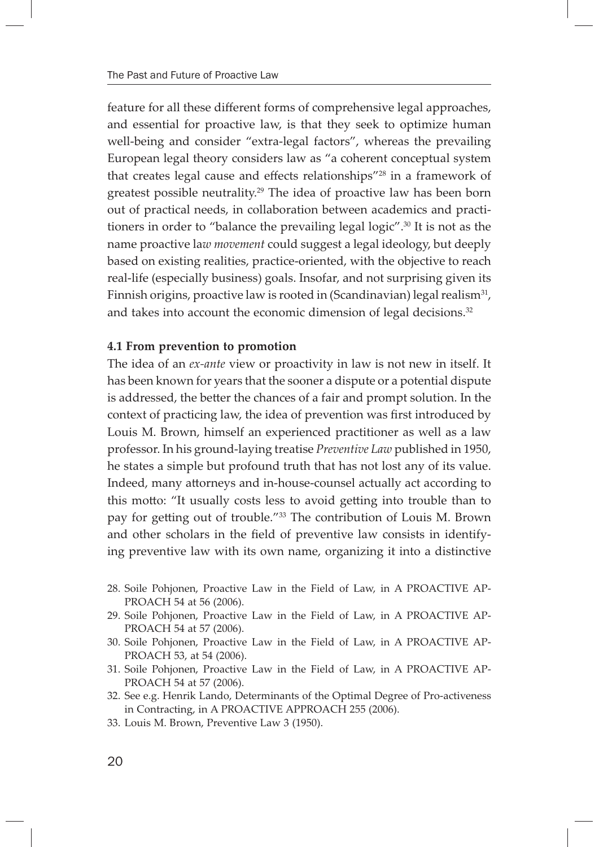feature for all these different forms of comprehensive legal approaches, and essential for proactive law, is that they seek to optimize human well-being and consider "extra-legal factors", whereas the prevailing European legal theory considers law as "a coherent conceptual system that creates legal cause and effects relationships"<sup>28</sup> in a framework of greatest possible neutrality.<sup>29</sup> The idea of proactive law has been born out of practical needs, in collaboration between academics and practitioners in order to "balance the prevailing legal logic".30 It is not as the name proactive la*w movement* could suggest a legal ideology, but deeply based on existing realities, practice-oriented, with the objective to reach real-life (especially business) goals. Insofar, and not surprising given its Finnish origins, proactive law is rooted in (Scandinavian) legal realism<sup>31</sup>, and takes into account the economic dimension of legal decisions.<sup>32</sup>

#### **4.1 From prevention to promotion**

The idea of an *ex-ante* view or proactivity in law is not new in itself. It has been known for years that the sooner a dispute or a potential dispute is addressed, the better the chances of a fair and prompt solution. In the context of practicing law, the idea of prevention was first introduced by Louis M. Brown, himself an experienced practitioner as well as a law professor. In his ground-laying treatise *Preventive Law* published in 1950, he states a simple but profound truth that has not lost any of its value. Indeed, many attorneys and in-house-counsel actually act according to this motto: "It usually costs less to avoid getting into trouble than to pay for getting out of trouble."<sup>33</sup> The contribution of Louis M. Brown and other scholars in the field of preventive law consists in identifying preventive law with its own name, organizing it into a distinctive

- 28. Soile Pohjonen, Proactive Law in the Field of Law, in A PROACTIVE AP-PROACH 54 at 56 (2006).
- 29. Soile Pohjonen, Proactive Law in the Field of Law, in A PROACTIVE AP-PROACH 54 at 57 (2006).
- 30. Soile Pohjonen, Proactive Law in the Field of Law, in A PROACTIVE AP-PROACH 53, at 54 (2006).
- 31. Soile Pohjonen, Proactive Law in the Field of Law, in A PROACTIVE AP-PROACH 54 at 57 (2006).
- 32. See e.g. Henrik Lando, Determinants of the Optimal Degree of Pro-activeness in Contracting, in A PROACTIVE APPROACH 255 (2006).
- 33. Louis M. Brown, Preventive Law 3 (1950).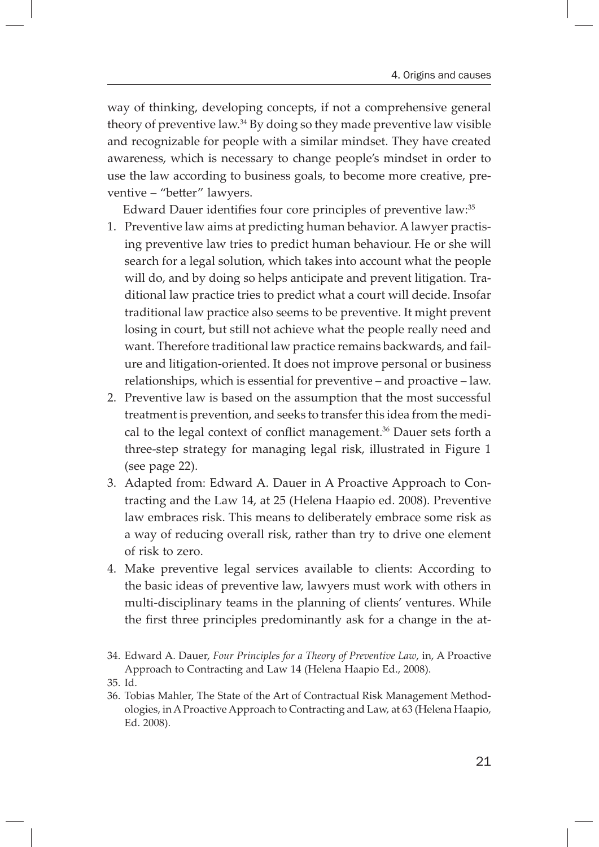way of thinking, developing concepts, if not a comprehensive general theory of preventive law.34 By doing so they made preventive law visible and recognizable for people with a similar mindset. They have created awareness, which is necessary to change people's mindset in order to use the law according to business goals, to become more creative, preventive – "better" lawyers.

Edward Dauer identifies four core principles of preventive law:<sup>35</sup>

- 1. Preventive law aims at predicting human behavior. A lawyer practising preventive law tries to predict human behaviour. He or she will search for a legal solution, which takes into account what the people will do, and by doing so helps anticipate and prevent litigation. Traditional law practice tries to predict what a court will decide. Insofar traditional law practice also seems to be preventive. It might prevent losing in court, but still not achieve what the people really need and want. Therefore traditional law practice remains backwards, and failure and litigation-oriented. It does not improve personal or business relationships, which is essential for preventive – and proactive – law.
- 2. Preventive law is based on the assumption that the most successful treatment is prevention, and seeks to transfer this idea from the medical to the legal context of conflict management.<sup>36</sup> Dauer sets forth a three-step strategy for managing legal risk, illustrated in Figure 1 (see page 22).
- 3. Adapted from: Edward A. Dauer in A Proactive Approach to Contracting and the Law 14, at 25 (Helena Haapio ed. 2008). Preventive law embraces risk. This means to deliberately embrace some risk as a way of reducing overall risk, rather than try to drive one element of risk to zero.
- 4. Make preventive legal services available to clients: According to the basic ideas of preventive law, lawyers must work with others in multi-disciplinary teams in the planning of clients' ventures. While the first three principles predominantly ask for a change in the at-

<sup>34.</sup> Edward A. Dauer, *Four Principles for a Theory of Preventive Law*, in, A Proactive Approach to Contracting and Law 14 (Helena Haapio Ed., 2008).

<sup>35.</sup> Id.

<sup>36.</sup> Tobias Mahler, The State of the Art of Contractual Risk Management Methodologies, in A Proactive Approach to Contracting and Law, at 63 (Helena Haapio, Ed. 2008).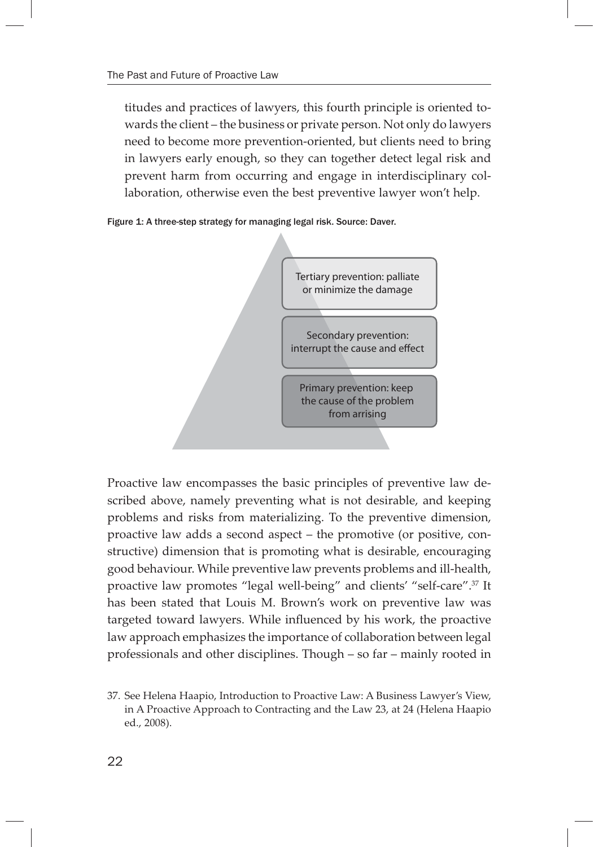titudes and practices of lawyers, this fourth principle is oriented towards the client – the business or private person. Not only do lawyers need to become more prevention-oriented, but clients need to bring in lawyers early enough, so they can together detect legal risk and prevent harm from occurring and engage in interdisciplinary collaboration, otherwise even the best preventive lawyer won't help.





Proactive law encompasses the basic principles of preventive law described above, namely preventing what is not desirable, and keeping problems and risks from materializing. To the preventive dimension, proactive law adds a second aspect – the promotive (or positive, constructive) dimension that is promoting what is desirable, encouraging good behaviour. While preventive law prevents problems and ill-health, proactive law promotes "legal well-being" and clients' "self-care".37 It has been stated that Louis M. Brown's work on preventive law was targeted toward lawyers. While influenced by his work, the proactive law approach emphasizes the importance of collaboration between legal professionals and other disciplines. Though – so far – mainly rooted in

<sup>37.</sup> See Helena Haapio, Introduction to Proactive Law: A Business Lawyer's View, in A Proactive Approach to Contracting and the Law 23, at 24 (Helena Haapio ed., 2008).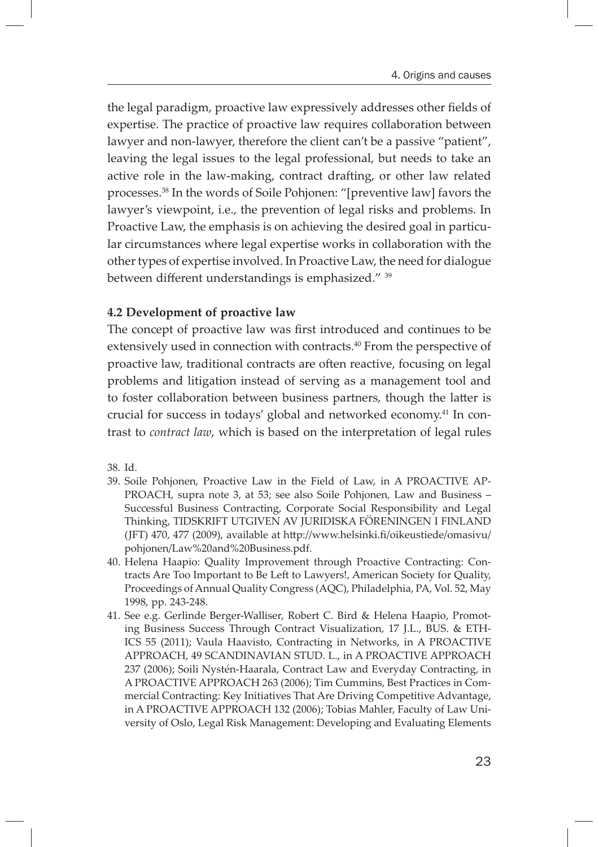the legal paradigm, proactive law expressively addresses other fields of expertise. The practice of proactive law requires collaboration between lawyer and non-lawyer, therefore the client can't be a passive "patient", leaving the legal issues to the legal professional, but needs to take an active role in the law-making, contract drafting, or other law related processes.38 In the words of Soile Pohjonen: "[preventive law] favors the lawyer's viewpoint, i.e., the prevention of legal risks and problems. In Proactive Law, the emphasis is on achieving the desired goal in particular circumstances where legal expertise works in collaboration with the other types of expertise involved. In Proactive Law, the need for dialogue between different understandings is emphasized." <sup>39</sup>

#### **4.2 Development of proactive law**

The concept of proactive law was first introduced and continues to be extensively used in connection with contracts.<sup>40</sup> From the perspective of proactive law, traditional contracts are often reactive, focusing on legal problems and litigation instead of serving as a management tool and to foster collaboration between business partners, though the latter is crucial for success in todays' global and networked economy.<sup>41</sup> In contrast to *contract law*, which is based on the interpretation of legal rules

38. Id.

- 39. Soile Pohjonen, Proactive Law in the Field of Law, in A PROACTIVE AP-PROACH, supra note 3, at 53; see also Soile Pohjonen, Law and Business – Successful Business Contracting, Corporate Social Responsibility and Legal Thinking, TIDSKRIFT UTGIVEN AV JURIDISKA FÖRENINGEN I FINLAND (JFT) 470, 477 (2009), available at http://www.helsinki.fi/oikeustiede/omasivu/ pohjonen/Law%20and%20Business.pdf.
- 40. Helena Haapio: Quality Improvement through Proactive Contracting: Contracts Are Too Important to Be Left to Lawyers!, American Society for Quality, Proceedings of Annual Quality Congress (AQC), Philadelphia, PA, Vol. 52, May 1998, pp. 243-248.
- 41. See e.g. Gerlinde Berger-Walliser, Robert C. Bird & Helena Haapio, Promoting Business Success Through Contract Visualization, 17 J.L., BUS. & ETH-ICS 55 (2011); Vaula Haavisto, Contracting in Networks, in A PROACTIVE APPROACH, 49 SCANDINAVIAN STUD. L., in A PROACTIVE APPROACH 237 (2006); Soili Nystén-Haarala, Contract Law and Everyday Contracting, in A PROACTIVE APPROACH 263 (2006); Tim Cummins, Best Practices in Commercial Contracting: Key Initiatives That Are Driving Competitive Advantage, in A PROACTIVE APPROACH 132 (2006); Tobias Mahler, Faculty of Law University of Oslo, Legal Risk Management: Developing and Evaluating Elements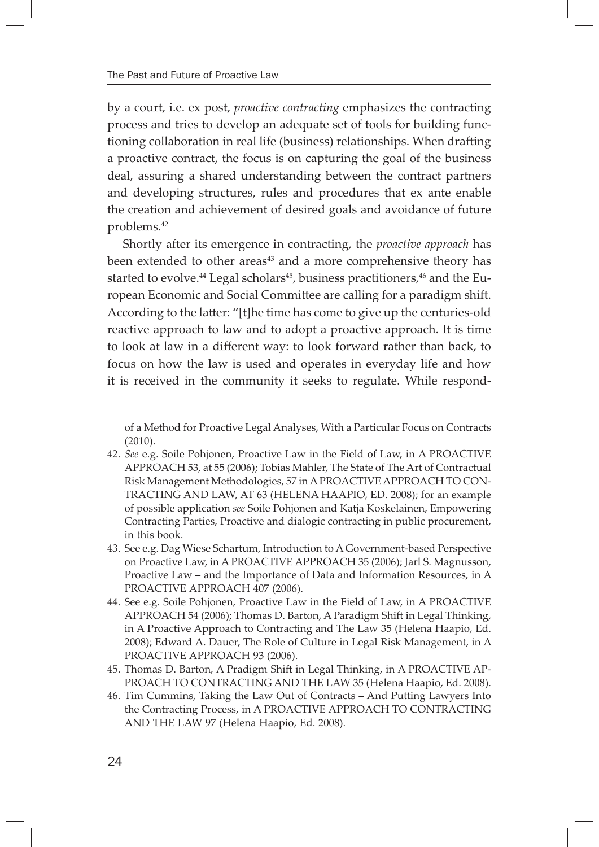by a court, i.e. ex post, *proactive contracting* emphasizes the contracting process and tries to develop an adequate set of tools for building functioning collaboration in real life (business) relationships. When drafting a proactive contract, the focus is on capturing the goal of the business deal, assuring a shared understanding between the contract partners and developing structures, rules and procedures that ex ante enable the creation and achievement of desired goals and avoidance of future problems.42

Shortly after its emergence in contracting, the *proactive approach* has been extended to other areas<sup>43</sup> and a more comprehensive theory has started to evolve.<sup>44</sup> Legal scholars<sup>45</sup>, business practitioners,  $46$  and the European Economic and Social Committee are calling for a paradigm shift. According to the latter: "[t]he time has come to give up the centuries-old reactive approach to law and to adopt a proactive approach. It is time to look at law in a different way: to look forward rather than back, to focus on how the law is used and operates in everyday life and how it is received in the community it seeks to regulate. While respond-

of a Method for Proactive Legal Analyses, With a Particular Focus on Contracts (2010).

- 42. *See* e.g. Soile Pohjonen, Proactive Law in the Field of Law, in A PROACTIVE APPROACH 53, at 55 (2006); Tobias Mahler, The State of The Art of Contractual Risk Management Methodologies, 57 in A PROACTIVE APPROACH TO CON-TRACTING AND LAW, AT 63 (HELENA HAAPIO, ED. 2008); for an example of possible application *see* Soile Pohjonen and Katja Koskelainen, Empowering Contracting Parties, Proactive and dialogic contracting in public procurement, in this book.
- 43. See e.g. Dag Wiese Schartum, Introduction to A Government-based Perspective on Proactive Law, in A PROACTIVE APPROACH 35 (2006); Jarl S. Magnusson, Proactive Law – and the Importance of Data and Information Resources, in A PROACTIVE APPROACH 407 (2006).
- 44. See e.g. Soile Pohjonen, Proactive Law in the Field of Law, in A PROACTIVE APPROACH 54 (2006); Thomas D. Barton, A Paradigm Shift in Legal Thinking, in A Proactive Approach to Contracting and The Law 35 (Helena Haapio, Ed. 2008); Edward A. Dauer, The Role of Culture in Legal Risk Management, in A PROACTIVE APPROACH 93 (2006).
- 45. Thomas D. Barton, A Pradigm Shift in Legal Thinking, in A PROACTIVE AP-PROACH TO CONTRACTING AND THE LAW 35 (Helena Haapio, Ed. 2008).
- 46. Tim Cummins, Taking the Law Out of Contracts And Putting Lawyers Into the Contracting Process, in A PROACTIVE APPROACH TO CONTRACTING AND THE LAW 97 (Helena Haapio, Ed. 2008).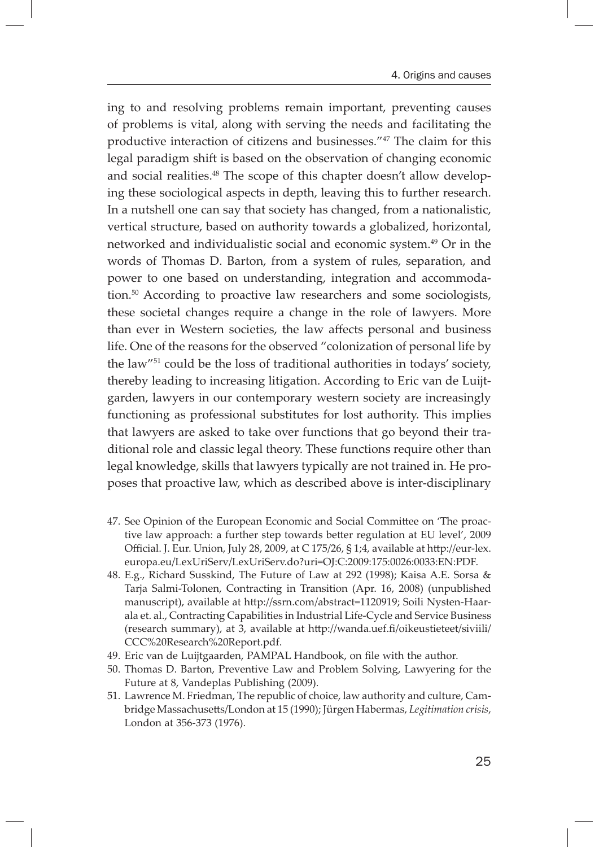ing to and resolving problems remain important, preventing causes of problems is vital, along with serving the needs and facilitating the productive interaction of citizens and businesses."47 The claim for this legal paradigm shift is based on the observation of changing economic and social realities.<sup>48</sup> The scope of this chapter doesn't allow developing these sociological aspects in depth, leaving this to further research. In a nutshell one can say that society has changed, from a nationalistic, vertical structure, based on authority towards a globalized, horizontal, networked and individualistic social and economic system.49 Or in the words of Thomas D. Barton, from a system of rules, separation, and power to one based on understanding, integration and accommodation.50 According to proactive law researchers and some sociologists, these societal changes require a change in the role of lawyers. More than ever in Western societies, the law affects personal and business life. One of the reasons for the observed "colonization of personal life by the law"51 could be the loss of traditional authorities in todays' society, thereby leading to increasing litigation. According to Eric van de Luijtgarden, lawyers in our contemporary western society are increasingly functioning as professional substitutes for lost authority. This implies that lawyers are asked to take over functions that go beyond their traditional role and classic legal theory. These functions require other than legal knowledge, skills that lawyers typically are not trained in. He proposes that proactive law, which as described above is inter-disciplinary

- 47. See Opinion of the European Economic and Social Committee on 'The proactive law approach: a further step towards better regulation at EU level', 2009 Official. J. Eur. Union, July 28, 2009, at C 175/26, § 1;4, available at http://eur-lex. europa.eu/LexUriServ/LexUriServ.do?uri=OJ:C:2009:175:0026:0033:EN:PDF.
- 48. E.g., Richard Susskind, The Future of Law at 292 (1998); Kaisa A.E. Sorsa & Tarja Salmi-Tolonen, Contracting in Transition (Apr. 16, 2008) (unpublished manuscript), available at http://ssrn.com/abstract=1120919; Soili Nysten-Haarala et. al., Contracting Capabilities in Industrial Life-Cycle and Service Business (research summary), at 3, available at http://wanda.uef.fi/oikeustieteet/siviili/ CCC%20Research%20Report.pdf.
- 49. Eric van de Luijtgaarden, PAMPAL Handbook, on file with the author.
- 50. Thomas D. Barton, Preventive Law and Problem Solving, Lawyering for the Future at 8, Vandeplas Publishing (2009).
- 51. Lawrence M. Friedman, The republic of choice, law authority and culture, Cambridge Massachusetts/London at 15 (1990); Jürgen Habermas, *Legitimation crisis*, London at 356-373 (1976).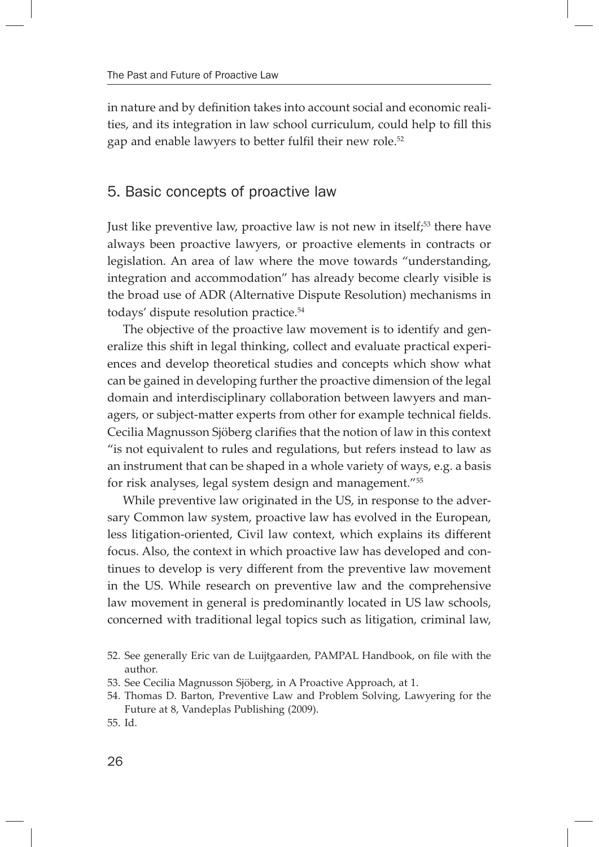in nature and by definition takes into account social and economic realities, and its integration in law school curriculum, could help to fill this gap and enable lawyers to better fulfil their new role.<sup>52</sup>

#### 5. Basic concepts of proactive law

Just like preventive law, proactive law is not new in itself;<sup>53</sup> there have always been proactive lawyers, or proactive elements in contracts or legislation. An area of law where the move towards "understanding, integration and accommodation" has already become clearly visible is the broad use of ADR (Alternative Dispute Resolution) mechanisms in todays' dispute resolution practice.54

The objective of the proactive law movement is to identify and generalize this shift in legal thinking, collect and evaluate practical experiences and develop theoretical studies and concepts which show what can be gained in developing further the proactive dimension of the legal domain and interdisciplinary collaboration between lawyers and managers, or subject-matter experts from other for example technical fields. Cecilia Magnusson Sjöberg clarifies that the notion of law in this context "is not equivalent to rules and regulations, but refers instead to law as an instrument that can be shaped in a whole variety of ways, e.g. a basis for risk analyses, legal system design and management."55

While preventive law originated in the US, in response to the adversary Common law system, proactive law has evolved in the European, less litigation-oriented, Civil law context, which explains its different focus. Also, the context in which proactive law has developed and continues to develop is very different from the preventive law movement in the US. While research on preventive law and the comprehensive law movement in general is predominantly located in US law schools, concerned with traditional legal topics such as litigation, criminal law,

<sup>52.</sup> See generally Eric van de Luijtgaarden, PAMPAL Handbook, on file with the author.

<sup>53.</sup> See Cecilia Magnusson Sjöberg, in A Proactive Approach, at 1.

<sup>54.</sup> Thomas D. Barton, Preventive Law and Problem Solving, Lawyering for the Future at 8, Vandeplas Publishing (2009).

<sup>55.</sup> Id.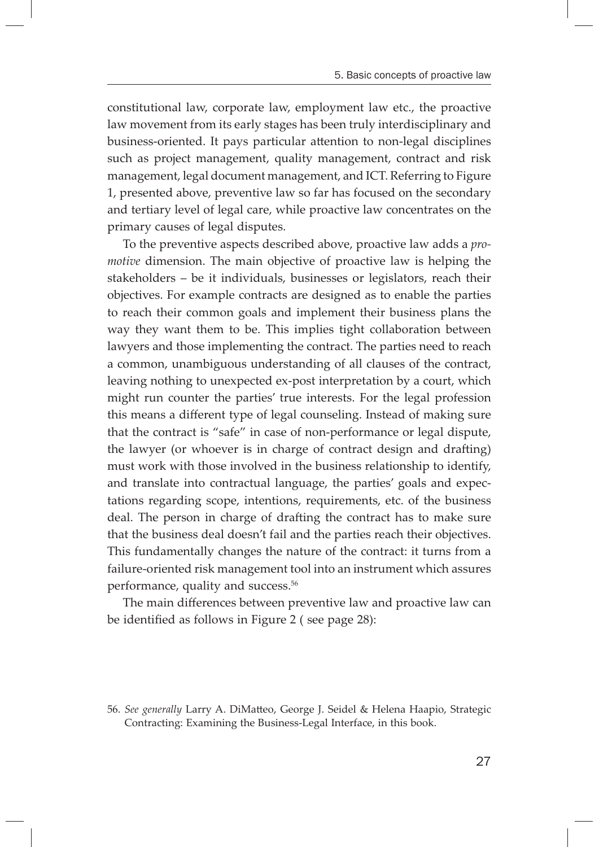constitutional law, corporate law, employment law etc., the proactive law movement from its early stages has been truly interdisciplinary and business-oriented. It pays particular attention to non-legal disciplines such as project management, quality management, contract and risk management, legal document management, and ICT. Referring to Figure 1, presented above, preventive law so far has focused on the secondary and tertiary level of legal care, while proactive law concentrates on the primary causes of legal disputes.

To the preventive aspects described above, proactive law adds a *promotive* dimension. The main objective of proactive law is helping the stakeholders – be it individuals, businesses or legislators, reach their objectives. For example contracts are designed as to enable the parties to reach their common goals and implement their business plans the way they want them to be. This implies tight collaboration between lawyers and those implementing the contract. The parties need to reach a common, unambiguous understanding of all clauses of the contract, leaving nothing to unexpected ex-post interpretation by a court, which might run counter the parties' true interests. For the legal profession this means a different type of legal counseling. Instead of making sure that the contract is "safe" in case of non-performance or legal dispute, the lawyer (or whoever is in charge of contract design and drafting) must work with those involved in the business relationship to identify, and translate into contractual language, the parties' goals and expectations regarding scope, intentions, requirements, etc. of the business deal. The person in charge of drafting the contract has to make sure that the business deal doesn't fail and the parties reach their objectives. This fundamentally changes the nature of the contract: it turns from a failure-oriented risk management tool into an instrument which assures performance, quality and success.<sup>56</sup>

The main differences between preventive law and proactive law can be identified as follows in Figure 2 ( see page 28):

<sup>56.</sup> See generally Larry A. DiMatteo, George J. Seidel & Helena Haapio, Strategic Contracting: Examining the Business-Legal Interface, in this book.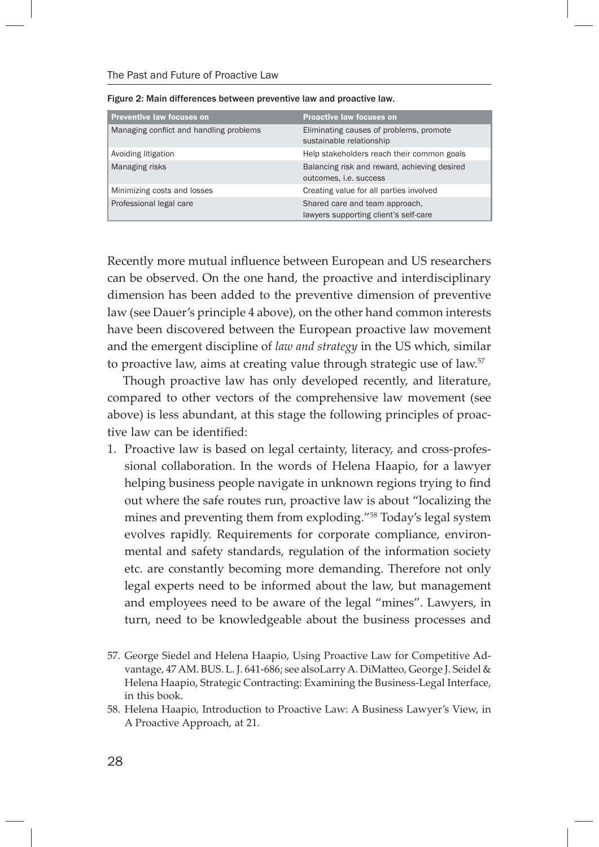| <b>Preventive law focuses on</b>        | <b>Proactive law focuses on</b>                                         |
|-----------------------------------------|-------------------------------------------------------------------------|
| Managing conflict and handling problems | Eliminating causes of problems, promote<br>sustainable relationship     |
| Avoiding litigation                     | Help stakeholders reach their common goals                              |
| Managing risks                          | Balancing risk and reward, achieving desired<br>outcomes, i.e. success  |
| Minimizing costs and losses             | Creating value for all parties involved                                 |
| Professional legal care                 | Shared care and team approach,<br>lawyers supporting client's self-care |

Recently more mutual influence between European and US researchers can be observed. On the one hand, the proactive and interdisciplinary dimension has been added to the preventive dimension of preventive law (see Dauer's principle 4 above), on the other hand common interests have been discovered between the European proactive law movement and the emergent discipline of *law and strategy* in the US which, similar to proactive law, aims at creating value through strategic use of law.<sup>57</sup>

Though proactive law has only developed recently, and literature, compared to other vectors of the comprehensive law movement (see above) is less abundant, at this stage the following principles of proactive law can be identified:

1. Proactive law is based on legal certainty, literacy, and cross-professional collaboration. In the words of Helena Haapio, for a lawyer helping business people navigate in unknown regions trying to find out where the safe routes run, proactive law is about "localizing the mines and preventing them from exploding."58 Today's legal system evolves rapidly. Requirements for corporate compliance, environmental and safety standards, regulation of the information society etc. are constantly becoming more demanding. Therefore not only legal experts need to be informed about the law, but management and employees need to be aware of the legal "mines". Lawyers, in turn, need to be knowledgeable about the business processes and

<sup>57.</sup> George Siedel and Helena Haapio, Using Proactive Law for Competitive Advantage, 47 AM. BUS. L. J. 641-686; see alsoLarry A. DiMatteo, George J. Seidel & Helena Haapio, Strategic Contracting: Examining the Business-Legal Interface, in this book.

<sup>58.</sup> Helena Haapio, Introduction to Proactive Law: A Business Lawyer's View, in A Proactive Approach, at 21.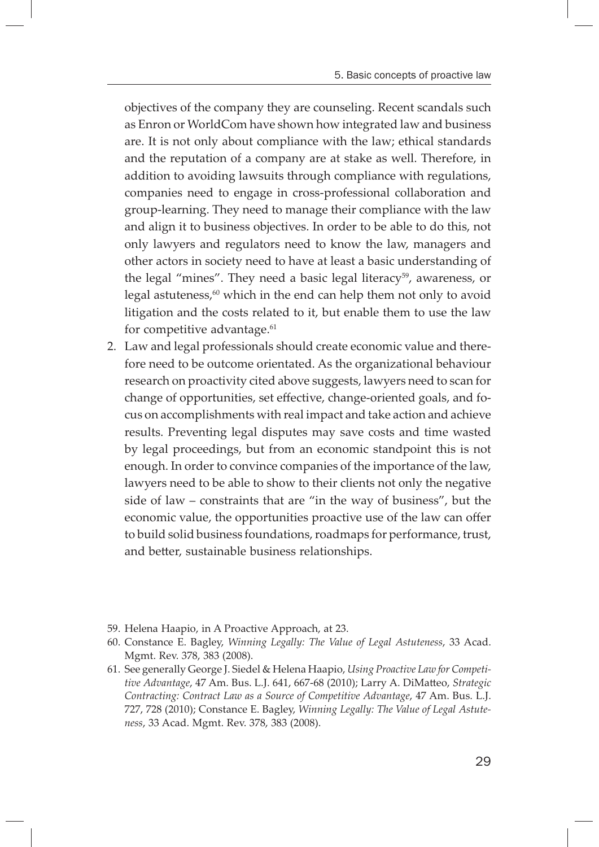objectives of the company they are counseling. Recent scandals such as Enron or WorldCom have shown how integrated law and business are. It is not only about compliance with the law; ethical standards and the reputation of a company are at stake as well. Therefore, in addition to avoiding lawsuits through compliance with regulations, companies need to engage in cross-professional collaboration and group-learning. They need to manage their compliance with the law and align it to business objectives. In order to be able to do this, not only lawyers and regulators need to know the law, managers and other actors in society need to have at least a basic understanding of the legal "mines". They need a basic legal literacy<sup>59</sup>, awareness, or legal astuteness, $60$  which in the end can help them not only to avoid litigation and the costs related to it, but enable them to use the law for competitive advantage.<sup>61</sup>

- 2. Law and legal professionals should create economic value and therefore need to be outcome orientated. As the organizational behaviour research on proactivity cited above suggests, lawyers need to scan for change of opportunities, set effective, change-oriented goals, and focus on accomplishments with real impact and take action and achieve results. Preventing legal disputes may save costs and time wasted by legal proceedings, but from an economic standpoint this is not enough. In order to convince companies of the importance of the law, lawyers need to be able to show to their clients not only the negative side of law – constraints that are "in the way of business", but the economic value, the opportunities proactive use of the law can offer to build solid business foundations, roadmaps for performance, trust, and better, sustainable business relationships.
- 59. Helena Haapio, in A Proactive Approach, at 23.
- 60. Constance E. Bagley, *Winning Legally: The Value of Legal Astuteness*, 33 Acad. Mgmt. Rev. 378, 383 (2008).
- 61. See generally George J. Siedel & Helena Haapio, *Using Proactive Law for Competitive Advantage, 47 Am. Bus. L.J. 641, 667-68 (2010); Larry A. DiMatteo, Strategic Contracting: Contract Law as a Source of Competitive Advantage*, 47 Am. Bus. L.J. 727, 728 (2010); Constance E. Bagley, *Winning Legally: The Value of Legal Astuteness*, 33 Acad. Mgmt. Rev. 378, 383 (2008).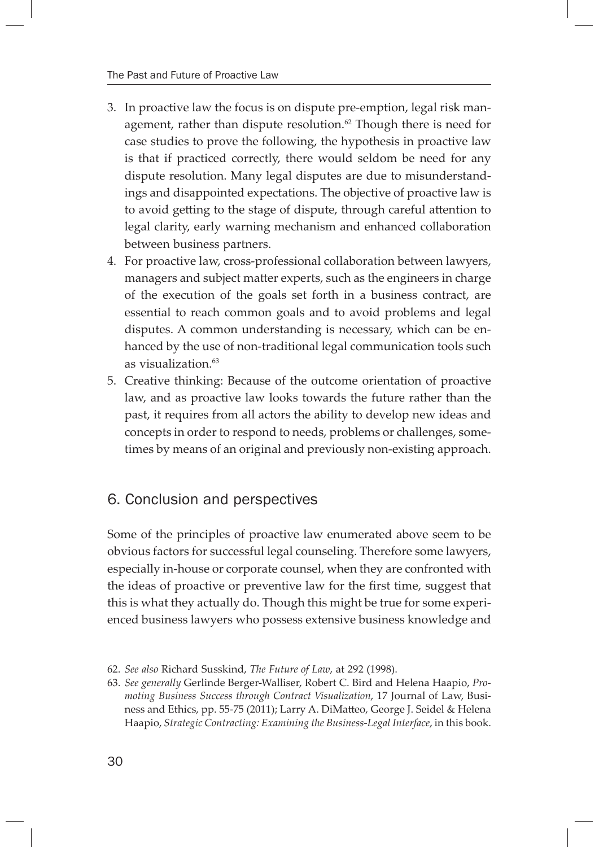- 3. In proactive law the focus is on dispute pre-emption, legal risk management, rather than dispute resolution. $62$  Though there is need for case studies to prove the following, the hypothesis in proactive law is that if practiced correctly, there would seldom be need for any dispute resolution. Many legal disputes are due to misunderstandings and disappointed expectations. The objective of proactive law is to avoid getting to the stage of dispute, through careful attention to legal clarity, early warning mechanism and enhanced collaboration between business partners.
- 4. For proactive law, cross-professional collaboration between lawyers, managers and subject matter experts, such as the engineers in charge of the execution of the goals set forth in a business contract, are essential to reach common goals and to avoid problems and legal disputes. A common understanding is necessary, which can be enhanced by the use of non-traditional legal communication tools such as visualization.63
- 5. Creative thinking: Because of the outcome orientation of proactive law, and as proactive law looks towards the future rather than the past, it requires from all actors the ability to develop new ideas and concepts in order to respond to needs, problems or challenges, sometimes by means of an original and previously non-existing approach.

# 6. Conclusion and perspectives

Some of the principles of proactive law enumerated above seem to be obvious factors for successful legal counseling. Therefore some lawyers, especially in-house or corporate counsel, when they are confronted with the ideas of proactive or preventive law for the first time, suggest that this is what they actually do. Though this might be true for some experienced business lawyers who possess extensive business knowledge and

<sup>62.</sup> *See also* Richard Susskind, *The Future of Law*, at 292 (1998).

<sup>63.</sup> *See generally* Gerlinde Berger-Walliser, Robert C. Bird and Helena Haapio, *Promoting Business Success through Contract Visualization*, 17 Journal of Law, Business and Ethics, pp. 55-75 (2011); Larry A. DiMatteo, George J. Seidel & Helena Haapio, *Strategic Contracting: Examining the Business-Legal Interface*, in this book.